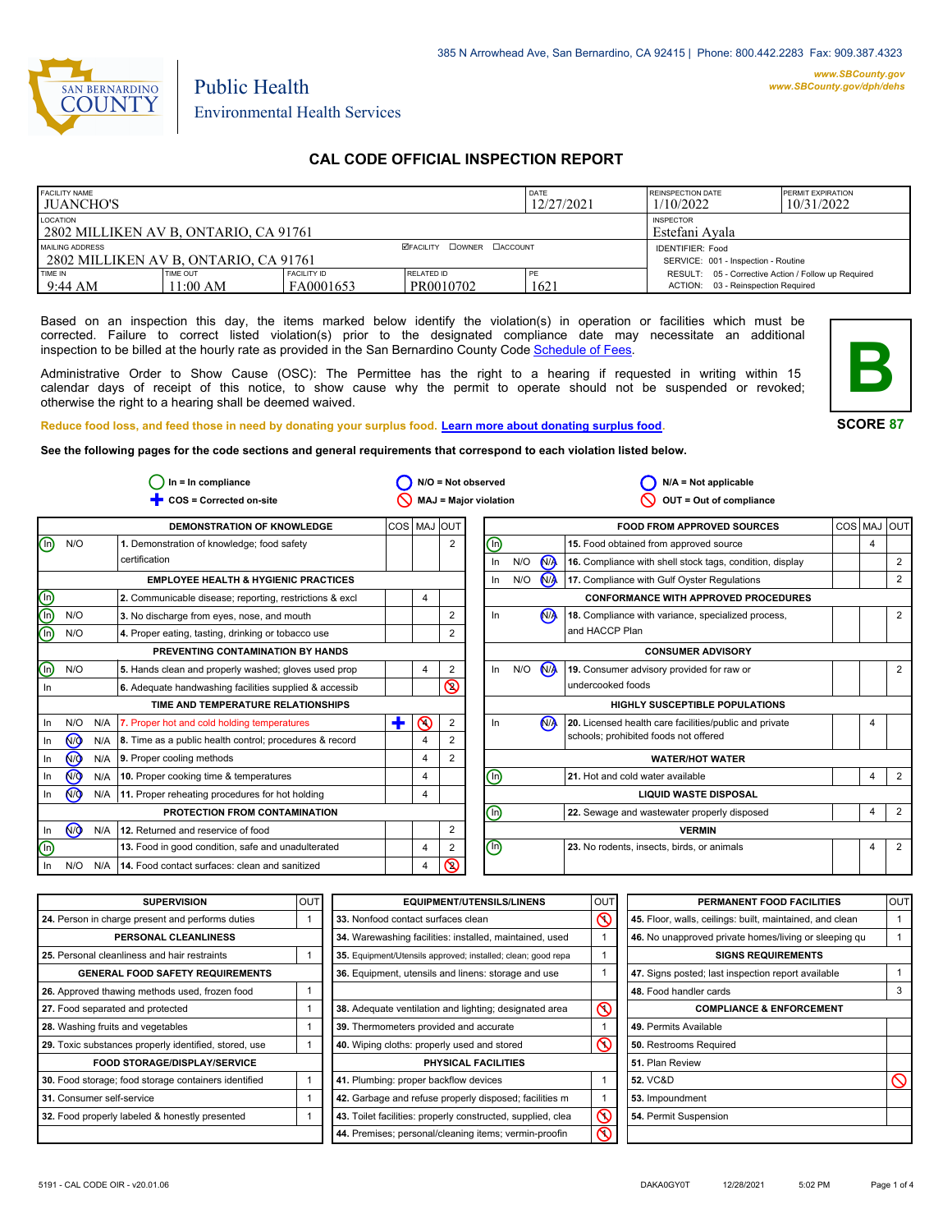

Public Health

## **CAL CODE OFFICIAL INSPECTION REPORT**

| <b>FACILITY NAME</b><br><b>JUANCHO'S</b>                 |                      |                          |                                    | DATE<br>12/27/2021                                             | REINSPECTION DATE<br>1/10/2022                                                               | <b>PERMIT EXPIRATION</b><br>10/31/2022 |
|----------------------------------------------------------|----------------------|--------------------------|------------------------------------|----------------------------------------------------------------|----------------------------------------------------------------------------------------------|----------------------------------------|
| LOCATION<br>2802 MILLIKEN AV B, ONTARIO, CA 91761        |                      |                          | <b>INSPECTOR</b><br>Estefani Avala |                                                                |                                                                                              |                                        |
| MAILING ADDRESS<br>2802 MILLIKEN AV B, ONTARIO, CA 91761 |                      |                          | <b>ØFACILITY COWNER CACCOUNT</b>   | <b>IDENTIFIER: Food</b><br>SERVICE: 001 - Inspection - Routine |                                                                                              |                                        |
| TIME IN<br>9:44 AM                                       | TIME OUT<br>11:00 AM | FACILITY ID<br>FA0001653 | RELATED ID<br>PR0010702            | PE<br>1621                                                     | RESULT: 05 - Corrective Action / Follow up Required<br>03 - Reinspection Required<br>ACTION: |                                        |

Based on an inspection this day, the items marked below identify the violation(s) in operation or facilities which must be corrected. Failure to correct listed violation(s) prior to the designated compliance date may necessitate an additional inspection to be billed at the hourly rate as provided in the San Bernardino County Co[de Schedule of Fees.](https://codelibrary.amlegal.com/codes/sanbernardino/latest/sanberncty_ca/0-0-0-122474#JD_16.0213B)

Administrative Order to Show Cause (OSC): The Permittee has the right to a hearing if requested in writing within 15 calendar days of receipt of this notice, to show cause why the permit to operate should not be suspended or revoked; otherwise the right to a hearing shall be deemed waived.



#### **SCORE 87**

**Reduce food loss, and feed those in need by donating your surplus f[ood. Learn more about donating surplus food.](https://wp.sbcounty.gov/dph/programs/ehs/charitable-food-service/) See the following pages for the code sections and general requirements that correspond to each violation listed below.**

|                                               | $In = In$ compliance |     |                                                         |   | $N/O = Not observed$ |                |                                | $N/A = Not applicable$ |                |                                                          |            |   |                |
|-----------------------------------------------|----------------------|-----|---------------------------------------------------------|---|----------------------|----------------|--------------------------------|------------------------|----------------|----------------------------------------------------------|------------|---|----------------|
|                                               |                      |     | COS = Corrected on-site                                 |   |                      |                | MAJ = Major violation          |                        |                | OUT = Out of compliance                                  |            |   |                |
|                                               |                      |     | DEMONSTRATION OF KNOWLEDGE                              |   | COS MAJ              | <b>OUT</b>     |                                |                        |                | <b>FOOD FROM APPROVED SOURCES</b>                        | <b>COS</b> |   | MAJ OUT        |
| $^\copyright$                                 | N/O                  |     | 1. Demonstration of knowledge; food safety              |   |                      | $\overline{2}$ | (lì)                           |                        |                | 15. Food obtained from approved source                   |            | 4 |                |
|                                               |                      |     | certification                                           |   |                      |                | In                             | N/O                    | N <sub>A</sub> | 16. Compliance with shell stock tags, condition, display |            |   | 2              |
|                                               |                      |     | <b>EMPLOYEE HEALTH &amp; HYGIENIC PRACTICES</b>         |   |                      |                | In                             | N/O                    | N              | 17. Compliance with Gulf Oyster Regulations              |            |   | $\overline{2}$ |
|                                               |                      |     | 2. Communicable disease; reporting, restrictions & excl |   | 4                    |                |                                |                        |                | <b>CONFORMANCE WITH APPROVED PROCEDURES</b>              |            |   |                |
| $\overset{\text{\normalsize{0}}}{\mathbb{D}}$ | N/O                  |     | 3. No discharge from eyes, nose, and mouth              |   |                      | $\overline{2}$ | In                             |                        | (NA            | 18. Compliance with variance, specialized process,       |            |   | 2              |
| ⋒                                             | N/O                  |     | 4. Proper eating, tasting, drinking or tobacco use      |   |                      | 2              |                                |                        |                | and HACCP Plan                                           |            |   |                |
|                                               |                      |     | PREVENTING CONTAMINATION BY HANDS                       |   |                      |                |                                |                        |                | <b>CONSUMER ADVISORY</b>                                 |            |   |                |
| $\overline{\mathbb{O}}$                       | N/O                  |     | 5. Hands clean and properly washed; gloves used prop    |   | 4                    | $\overline{2}$ | In                             | N/O                    | N              | 19. Consumer advisory provided for raw or                |            |   | 2              |
| In                                            |                      |     | 6. Adequate handwashing facilities supplied & accessib  |   |                      | $\circledcirc$ |                                |                        |                | undercooked foods                                        |            |   |                |
|                                               |                      |     | TIME AND TEMPERATURE RELATIONSHIPS                      |   |                      |                |                                |                        |                | <b>HIGHLY SUSCEPTIBLE POPULATIONS</b>                    |            |   |                |
| In                                            | N/O                  | N/A | 7. Proper hot and cold holding temperatures             | ٠ | の                    | $\overline{2}$ | In.                            |                        | N <sub>A</sub> | 20. Licensed health care facilities/public and private   |            | 4 |                |
| In                                            | $\overline{M}$       | N/A | 8. Time as a public health control; procedures & record |   | $\overline{4}$       | 2              |                                |                        |                | schools; prohibited foods not offered                    |            |   |                |
| In                                            | $\overline{M}$       | N/A | 9. Proper cooling methods                               |   | $\overline{4}$       | 2              |                                |                        |                | <b>WATER/HOT WATER</b>                                   |            |   |                |
| In                                            | $\sqrt{10}$          | N/A | 10. Proper cooking time & temperatures                  |   | 4                    |                | (lì)                           |                        |                | 21. Hot and cold water available                         |            | 4 | $\overline{2}$ |
| In                                            | $\sqrt{9}$           | N/A | 11. Proper reheating procedures for hot holding         |   | 4                    |                |                                |                        |                | <b>LIQUID WASTE DISPOSAL</b>                             |            |   |                |
|                                               |                      |     | PROTECTION FROM CONTAMINATION                           |   |                      |                | ⋒                              |                        |                | 22. Sewage and wastewater properly disposed              |            | 4 | $\overline{2}$ |
| In                                            | $\overline{M}$       | N/A | 12. Returned and reservice of food                      |   |                      | $\overline{2}$ |                                |                        |                | <b>VERMIN</b>                                            |            |   |                |
| ⋒                                             |                      |     | 13. Food in good condition, safe and unadulterated      |   | 4                    | 2              | $\textcircled{\scriptsize{0}}$ |                        |                | 23. No rodents, insects, birds, or animals               |            | 4 | 2              |
| In.                                           | N/O                  | N/A | 14. Food contact surfaces: clean and sanitized          |   | 4                    | $\circledcirc$ |                                |                        |                |                                                          |            |   |                |

| <b>SUPERVISION</b>                                    | <b>OUT</b> | <b>EQUIPMENT/UTENSILS/LINENS</b>                             | OU <sub>1</sub> | PERMANENT FOOD FACILITIES                                | <b>OUT</b> |
|-------------------------------------------------------|------------|--------------------------------------------------------------|-----------------|----------------------------------------------------------|------------|
| 24. Person in charge present and performs duties      |            | 33. Nonfood contact surfaces clean                           | ဇ               | 45. Floor, walls, ceilings: built, maintained, and clean |            |
| <b>PERSONAL CLEANLINESS</b>                           |            | 34. Warewashing facilities: installed, maintained, used      |                 | 46. No unapproved private homes/living or sleeping qu    |            |
| 25. Personal cleanliness and hair restraints          |            | 35. Equipment/Utensils approved; installed; clean; good repa |                 | <b>SIGNS REQUIREMENTS</b>                                |            |
| <b>GENERAL FOOD SAFETY REQUIREMENTS</b>               |            | 36. Equipment, utensils and linens: storage and use          |                 | 47. Signs posted; last inspection report available       |            |
| 26. Approved thawing methods used, frozen food        |            |                                                              |                 | 48. Food handler cards                                   |            |
| 27. Food separated and protected                      |            | 38. Adequate ventilation and lighting; designated area       | ⋒               | <b>COMPLIANCE &amp; ENFORCEMENT</b>                      |            |
| 28. Washing fruits and vegetables                     |            | 39. Thermometers provided and accurate                       |                 | 49. Permits Available                                    |            |
| 29. Toxic substances properly identified, stored, use |            | 40. Wiping cloths: properly used and stored                  | ᠺ               | 50. Restrooms Required                                   |            |
| <b>FOOD STORAGE/DISPLAY/SERVICE</b>                   |            | <b>PHYSICAL FACILITIES</b>                                   |                 | 51. Plan Review                                          |            |
| 30. Food storage; food storage containers identified  |            | 41. Plumbing: proper backflow devices                        |                 | <b>52. VC&amp;D</b>                                      |            |
| 31. Consumer self-service                             |            | 42. Garbage and refuse properly disposed; facilities m       |                 | 53. Impoundment                                          |            |
| 32. Food properly labeled & honestly presented        |            | 43. Toilet facilities: properly constructed, supplied, clea  | Ƙ               | 54. Permit Suspension                                    |            |
|                                                       |            | 44. Premises; personal/cleaning items; vermin-proofin        | ⌒               |                                                          |            |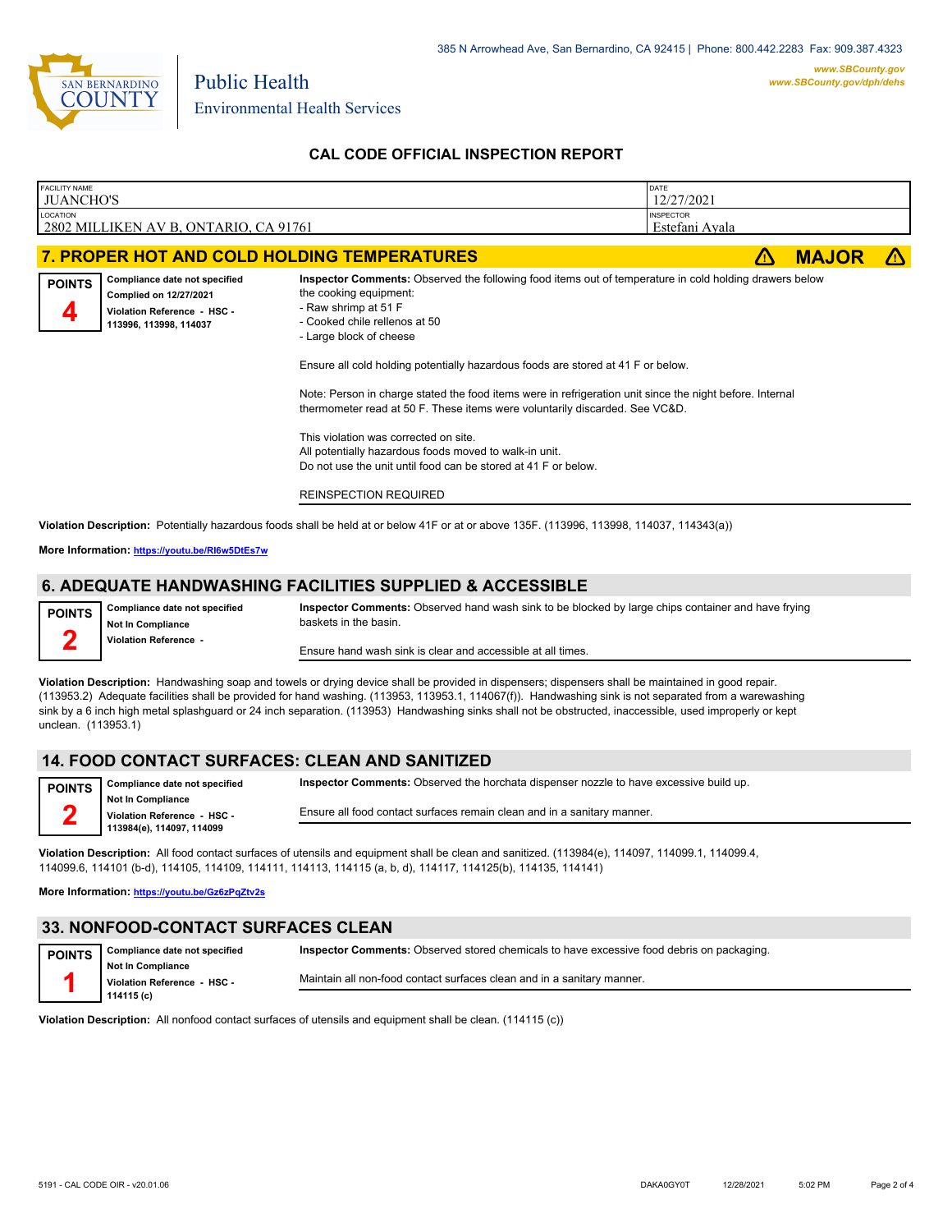

Public Health

## **CAL CODE OFFICIAL INSPECTION REPORT**

| FACILITY NAME<br><b>JUANCHO'S</b> |                                                                                                                  |                                                                                                                                                                                                                                                                                                                                                                                                                                                                                                                                                                                                                                                                                                          | DATE<br>12/27/2021                 |              |  |
|-----------------------------------|------------------------------------------------------------------------------------------------------------------|----------------------------------------------------------------------------------------------------------------------------------------------------------------------------------------------------------------------------------------------------------------------------------------------------------------------------------------------------------------------------------------------------------------------------------------------------------------------------------------------------------------------------------------------------------------------------------------------------------------------------------------------------------------------------------------------------------|------------------------------------|--------------|--|
| <b>LOCATION</b>                   | 2802 MILLIKEN AV B, ONTARIO, CA 91761                                                                            |                                                                                                                                                                                                                                                                                                                                                                                                                                                                                                                                                                                                                                                                                                          | <b>INSPECTOR</b><br>Estefani Avala |              |  |
|                                   |                                                                                                                  | 7. PROPER HOT AND COLD HOLDING TEMPERATURES                                                                                                                                                                                                                                                                                                                                                                                                                                                                                                                                                                                                                                                              | 71                                 | <b>MAJOR</b> |  |
| <b>POINTS</b>                     | Compliance date not specified<br>Complied on 12/27/2021<br>Violation Reference - HSC -<br>113996, 113998, 114037 | Inspector Comments: Observed the following food items out of temperature in cold holding drawers below<br>the cooking equipment:<br>- Raw shrimp at 51 F<br>- Cooked chile rellenos at 50<br>- Large block of cheese<br>Ensure all cold holding potentially hazardous foods are stored at 41 F or below.<br>Note: Person in charge stated the food items were in refrigeration unit since the night before. Internal<br>thermometer read at 50 F. These items were voluntarily discarded. See VC&D.<br>This violation was corrected on site.<br>All potentially hazardous foods moved to walk-in unit.<br>Do not use the unit until food can be stored at 41 F or below.<br><b>REINSPECTION REQUIRED</b> |                                    |              |  |

**Violation Description:** Potentially hazardous foods shall be held at or below 41F or at or above 135F. (113996, 113998, 114037, 114343(a))

**More Information: <https://youtu.be/RI6w5DtEs7w>**

## **6. ADEQUATE HANDWASHING FACILITIES SUPPLIED & ACCESSIBLE**

| <b>POINTS</b> | Compliance date not specified<br><b>Not In Compliance</b> | Inspector Comments: Observed hand wash sink to be blocked by large chips container and have frying<br>baskets in the basin. |
|---------------|-----------------------------------------------------------|-----------------------------------------------------------------------------------------------------------------------------|
|               | Violation Reference -                                     | Ensure hand wash sink is clear and accessible at all times.                                                                 |

**Violation Description:** Handwashing soap and towels or drying device shall be provided in dispensers; dispensers shall be maintained in good repair. (113953.2) Adequate facilities shall be provided for hand washing. (113953, 113953.1, 114067(f)). Handwashing sink is not separated from a warewashing sink by a 6 inch high metal splashguard or 24 inch separation. (113953) Handwashing sinks shall not be obstructed, inaccessible, used improperly or kept unclean. (113953.1)

## **14. FOOD CONTACT SURFACES: CLEAN AND SANITIZED**

| <b>POINTS</b> | Compliance date not specified                            | Inspector Comments: Observed the horchata dispenser nozzle to have excessive build up. |
|---------------|----------------------------------------------------------|----------------------------------------------------------------------------------------|
|               | <b>Not In Compliance</b>                                 | Ensure all food contact surfaces remain clean and in a sanitary manner.                |
|               | Violation Reference - HSC -<br>113984(e), 114097, 114099 |                                                                                        |

**Violation Description:** All food contact surfaces of utensils and equipment shall be clean and sanitized. (113984(e), 114097, 114099.1, 114099.4, 114099.6, 114101 (b-d), 114105, 114109, 114111, 114113, 114115 (a, b, d), 114117, 114125(b), 114135, 114141)

**More Information: <https://youtu.be/Gz6zPqZtv2s>**

## **33. NONFOOD-CONTACT SURFACES CLEAN**

| <b>POINTS</b> | Compliance date not specified         | Inspector Comments: Observed stored chemicals to have excessive food debris on packaging. |
|---------------|---------------------------------------|-------------------------------------------------------------------------------------------|
|               | <b>Not In Compliance</b>              | Maintain all non-food contact surfaces clean and in a sanitary manner.                    |
|               | Violation Reference HSC<br>114115 (c) |                                                                                           |

**Violation Description:** All nonfood contact surfaces of utensils and equipment shall be clean. (114115 (c))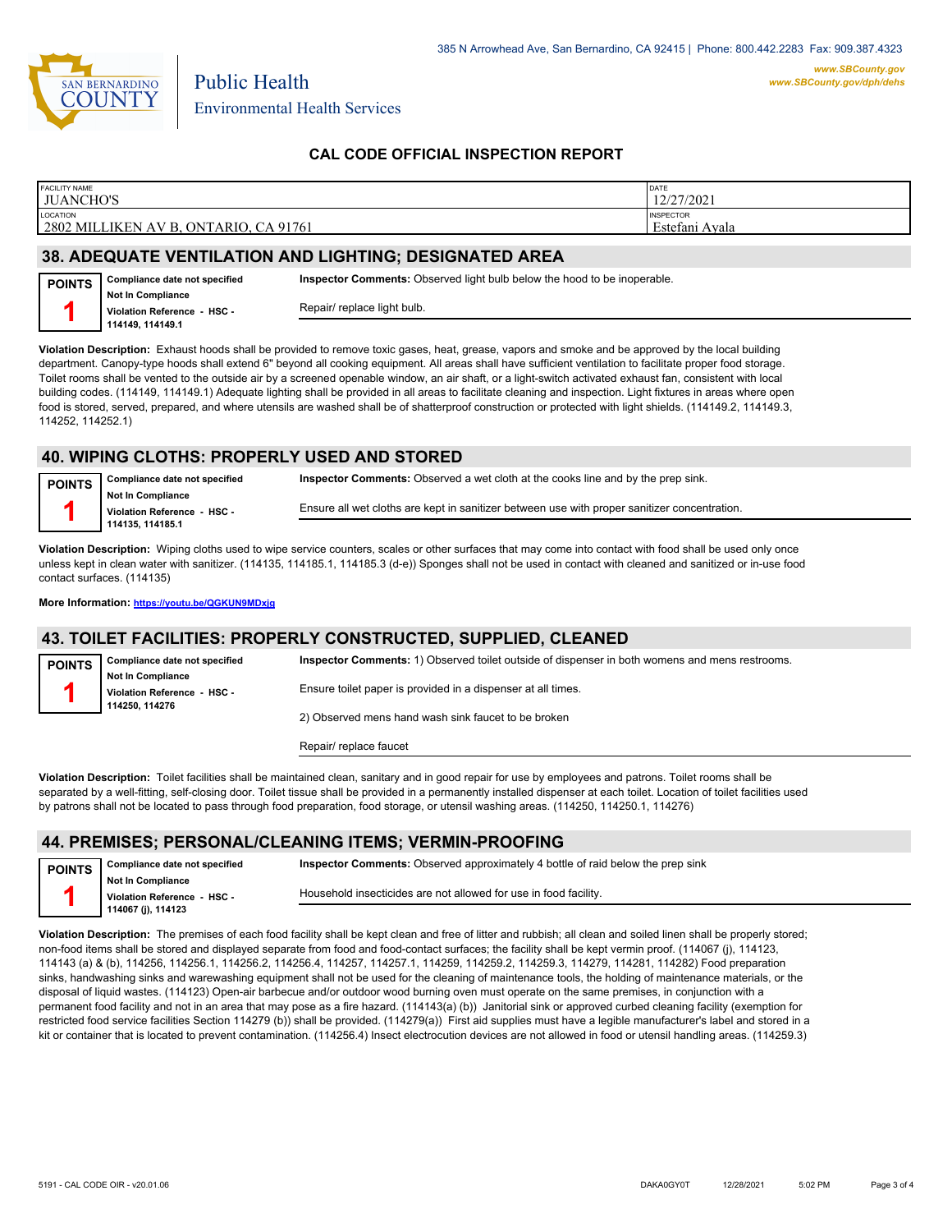

Public Health

## **CAL CODE OFFICIAL INSPECTION REPORT**

| <b>FACILITY NAME</b><br><b>JUANCHO'S</b>               | <b>DATE</b><br>12/27/2021          |
|--------------------------------------------------------|------------------------------------|
| LOCATION<br>2802 MILLIKEN AV B, ONTARIO,<br>. CA 91761 | <b>INSPECTOR</b><br>Estefani Avala |
|                                                        |                                    |

## **38. ADEQUATE VENTILATION AND LIGHTING; DESIGNATED AREA**

| <b>POINTS</b> | Compliance date not specified                    | <b>Inspector Comments:</b> Observed light bulb below the hood to be inoperable. |
|---------------|--------------------------------------------------|---------------------------------------------------------------------------------|
|               | Not In Compliance<br>Violation Reference - HSC - | Repair/ replace light bulb.                                                     |
|               | 114149.114149.1                                  |                                                                                 |

**Violation Description:** Exhaust hoods shall be provided to remove toxic gases, heat, grease, vapors and smoke and be approved by the local building department. Canopy-type hoods shall extend 6" beyond all cooking equipment. All areas shall have sufficient ventilation to facilitate proper food storage. Toilet rooms shall be vented to the outside air by a screened openable window, an air shaft, or a light-switch activated exhaust fan, consistent with local building codes. (114149, 114149.1) Adequate lighting shall be provided in all areas to facilitate cleaning and inspection. Light fixtures in areas where open food is stored, served, prepared, and where utensils are washed shall be of shatterproof construction or protected with light shields. (114149.2, 114149.3, 114252, 114252.1)

#### **40. WIPING CLOTHS: PROPERLY USED AND STORED**

**Compliance date not specified Not In Compliance Violation Reference - HSC - 114135, 114185.1 POINTS 1 Inspector Comments:** Observed a wet cloth at the cooks line and by the prep sink. Ensure all wet cloths are kept in sanitizer between use with proper sanitizer concentration.

**Violation Description:** Wiping cloths used to wipe service counters, scales or other surfaces that may come into contact with food shall be used only once unless kept in clean water with sanitizer. (114135, 114185.1, 114185.3 (d-e)) Sponges shall not be used in contact with cleaned and sanitized or in-use food contact surfaces. (114135)

**More Information: <https://youtu.be/QGKUN9MDxjg>**

### **43. TOILET FACILITIES: PROPERLY CONSTRUCTED, SUPPLIED, CLEANED**

| <b>POINTS</b> | Compliance date not specified | Inspector Comments: 1) Observed toilet outside of dispenser in both womens and mens restrooms. |
|---------------|-------------------------------|------------------------------------------------------------------------------------------------|
|               | <b>Not In Compliance</b>      |                                                                                                |
|               | Violation Reference - HSC -   | Ensure toilet paper is provided in a dispenser at all times.                                   |
|               | 114250.114276                 |                                                                                                |
|               |                               | 2) Observed mens hand wash sink faucet to be broken                                            |
|               |                               |                                                                                                |

Repair/ replace faucet

**Violation Description:** Toilet facilities shall be maintained clean, sanitary and in good repair for use by employees and patrons. Toilet rooms shall be separated by a well-fitting, self-closing door. Toilet tissue shall be provided in a permanently installed dispenser at each toilet. Location of toilet facilities used by patrons shall not be located to pass through food preparation, food storage, or utensil washing areas. (114250, 114250.1, 114276)

### **44. PREMISES; PERSONAL/CLEANING ITEMS; VERMIN-PROOFING**

**Compliance date not specified Not In Compliance Violation Reference - HSC - 114067 (j), 114123 POINTS**

**Inspector Comments:** Observed approximately 4 bottle of raid below the prep sink Household insecticides are not allowed for use in food facility.

**Violation Description:** The premises of each food facility shall be kept clean and free of litter and rubbish; all clean and soiled linen shall be properly stored; non-food items shall be stored and displayed separate from food and food-contact surfaces; the facility shall be kept vermin proof. (114067 (j), 114123, 114143 (a) & (b), 114256, 114256.1, 114256.2, 114256.4, 114257, 114257.1, 114259, 114259.2, 114259.3, 114279, 114281, 114282) Food preparation sinks, handwashing sinks and warewashing equipment shall not be used for the cleaning of maintenance tools, the holding of maintenance materials, or the disposal of liquid wastes. (114123) Open-air barbecue and/or outdoor wood burning oven must operate on the same premises, in conjunction with a permanent food facility and not in an area that may pose as a fire hazard. (114143(a) (b)) Janitorial sink or approved curbed cleaning facility (exemption for restricted food service facilities Section 114279 (b)) shall be provided. (114279(a)) First aid supplies must have a legible manufacturer's label and stored in a kit or container that is located to prevent contamination. (114256.4) Insect electrocution devices are not allowed in food or utensil handling areas. (114259.3)

**1**